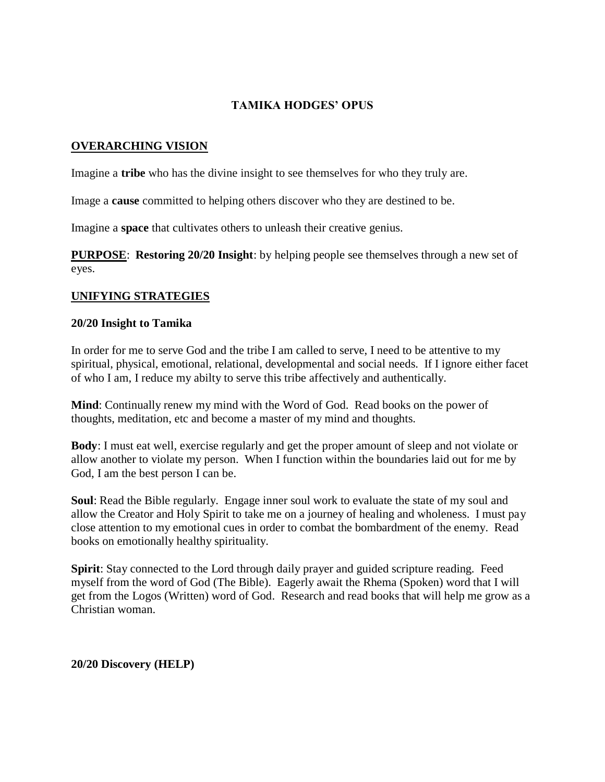### **TAMIKA HODGES' OPUS**

#### **OVERARCHING VISION**

Imagine a **tribe** who has the divine insight to see themselves for who they truly are.

Image a **cause** committed to helping others discover who they are destined to be.

Imagine a **space** that cultivates others to unleash their creative genius.

**PURPOSE**: **Restoring 20/20 Insight**: by helping people see themselves through a new set of eyes.

#### **UNIFYING STRATEGIES**

#### **20/20 Insight to Tamika**

In order for me to serve God and the tribe I am called to serve, I need to be attentive to my spiritual, physical, emotional, relational, developmental and social needs. If I ignore either facet of who I am, I reduce my abilty to serve this tribe affectively and authentically.

**Mind**: Continually renew my mind with the Word of God. Read books on the power of thoughts, meditation, etc and become a master of my mind and thoughts.

**Body**: I must eat well, exercise regularly and get the proper amount of sleep and not violate or allow another to violate my person. When I function within the boundaries laid out for me by God, I am the best person I can be.

**Soul**: Read the Bible regularly. Engage inner soul work to evaluate the state of my soul and allow the Creator and Holy Spirit to take me on a journey of healing and wholeness. I must pay close attention to my emotional cues in order to combat the bombardment of the enemy. Read books on emotionally healthy spirituality.

**Spirit**: Stay connected to the Lord through daily prayer and guided scripture reading. Feed myself from the word of God (The Bible). Eagerly await the Rhema (Spoken) word that I will get from the Logos (Written) word of God. Research and read books that will help me grow as a Christian woman.

#### **20/20 Discovery (HELP)**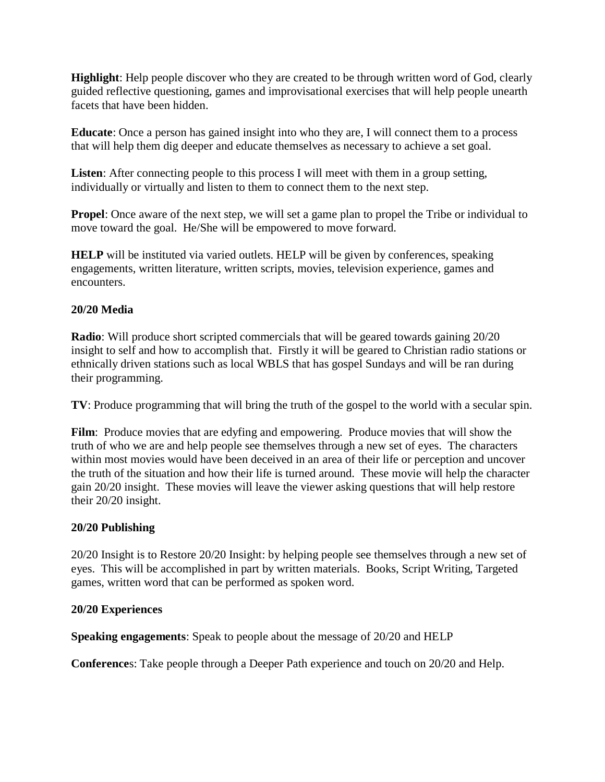**Highlight**: Help people discover who they are created to be through written word of God, clearly guided reflective questioning, games and improvisational exercises that will help people unearth facets that have been hidden.

**Educate**: Once a person has gained insight into who they are, I will connect them to a process that will help them dig deeper and educate themselves as necessary to achieve a set goal.

**Listen**: After connecting people to this process I will meet with them in a group setting, individually or virtually and listen to them to connect them to the next step.

**Propel**: Once aware of the next step, we will set a game plan to propel the Tribe or individual to move toward the goal. He/She will be empowered to move forward.

**HELP** will be instituted via varied outlets. HELP will be given by conferences, speaking engagements, written literature, written scripts, movies, television experience, games and encounters.

### **20/20 Media**

**Radio**: Will produce short scripted commercials that will be geared towards gaining 20/20 insight to self and how to accomplish that. Firstly it will be geared to Christian radio stations or ethnically driven stations such as local WBLS that has gospel Sundays and will be ran during their programming.

**TV**: Produce programming that will bring the truth of the gospel to the world with a secular spin.

**Film**: Produce movies that are edyfing and empowering. Produce movies that will show the truth of who we are and help people see themselves through a new set of eyes. The characters within most movies would have been deceived in an area of their life or perception and uncover the truth of the situation and how their life is turned around. These movie will help the character gain 20/20 insight. These movies will leave the viewer asking questions that will help restore their 20/20 insight.

# **20/20 Publishing**

20/20 Insight is to Restore 20/20 Insight: by helping people see themselves through a new set of eyes. This will be accomplished in part by written materials. Books, Script Writing, Targeted games, written word that can be performed as spoken word.

#### **20/20 Experiences**

**Speaking engagements**: Speak to people about the message of 20/20 and HELP

**Conference**s: Take people through a Deeper Path experience and touch on 20/20 and Help.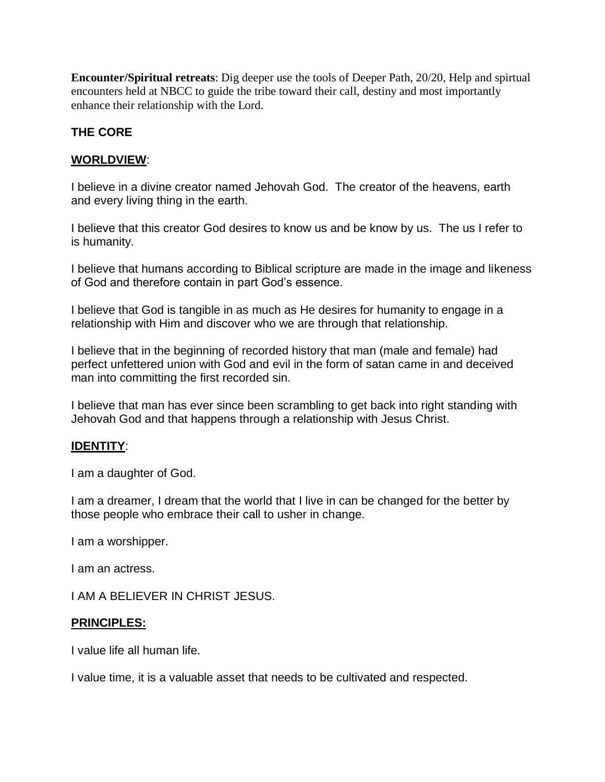**Encounter/Spiritual retreats**: Dig deeper use the tools of Deeper Path, 20/20, Help and spirtual encounters held at NBCC to guide the tribe toward their call, destiny and most importantly enhance their relationship with the Lord.

# **THE CORE**

### **WORLDVIEW**:

I believe in a divine creator named Jehovah God. The creator of the heavens, earth and every living thing in the earth.

I believe that this creator God desires to know us and be know by us. The us I refer to is humanity.

I believe that humans according to Biblical scripture are made in the image and likeness of God and therefore contain in part God's essence.

I believe that God is tangible in as much as He desires for humanity to engage in a relationship with Him and discover who we are through that relationship.

I believe that in the beginning of recorded history that man (male and female) had perfect unfettered union with God and evil in the form of satan came in and deceived man into committing the first recorded sin.

I believe that man has ever since been scrambling to get back into right standing with Jehovah God and that happens through a relationship with Jesus Christ.

#### **IDENTITY**:

I am a daughter of God.

I am a dreamer, I dream that the world that I live in can be changed for the better by those people who embrace their call to usher in change.

I am a worshipper.

I am an actress.

I AM A BELIEVER IN CHRIST JESUS.

#### **PRINCIPLES:**

I value life all human life.

I value time, it is a valuable asset that needs to be cultivated and respected.